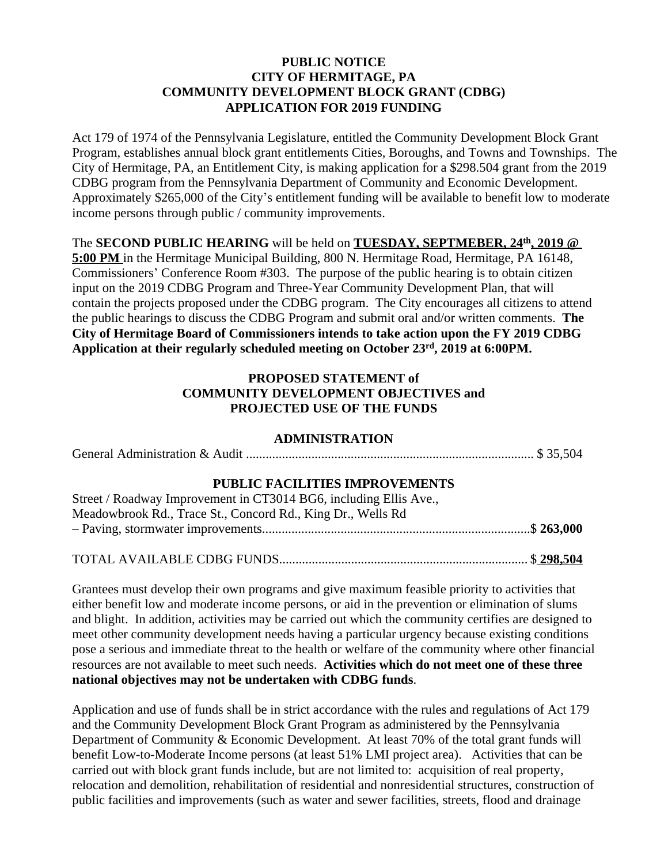#### **PUBLIC NOTICE CITY OF HERMITAGE, PA COMMUNITY DEVELOPMENT BLOCK GRANT (CDBG) APPLICATION FOR 2019 FUNDING**

Act 179 of 1974 of the Pennsylvania Legislature, entitled the Community Development Block Grant Program, establishes annual block grant entitlements Cities, Boroughs, and Towns and Townships. The City of Hermitage, PA, an Entitlement City, is making application for a \$298.504 grant from the 2019 CDBG program from the Pennsylvania Department of Community and Economic Development. Approximately \$265,000 of the City's entitlement funding will be available to benefit low to moderate income persons through public / community improvements.

The **SECOND PUBLIC HEARING** will be held on **TUESDAY, SEPTMEBER, 24th, 2019 @ 5:00 PM** in the Hermitage Municipal Building, 800 N. Hermitage Road, Hermitage, PA 16148, Commissioners' Conference Room #303. The purpose of the public hearing is to obtain citizen input on the 2019 CDBG Program and Three-Year Community Development Plan, that will contain the projects proposed under the CDBG program. The City encourages all citizens to attend the public hearings to discuss the CDBG Program and submit oral and/or written comments. **The** 

**City of Hermitage Board of Commissioners intends to take action upon the FY 2019 CDBG Application at their regularly scheduled meeting on October 23 rd, 2019 at 6:00PM.**

### **PROPOSED STATEMENT of COMMUNITY DEVELOPMENT OBJECTIVES and PROJECTED USE OF THE FUNDS**

### **ADMINISTRATION**

General Administration & Audit ........................................................................................ \$ 35,504

## **PUBLIC FACILITIES IMPROVEMENTS**

| Street / Roadway Improvement in CT3014 BG6, including Ellis Ave., |  |
|-------------------------------------------------------------------|--|
| Meadowbrook Rd., Trace St., Concord Rd., King Dr., Wells Rd       |  |
|                                                                   |  |
|                                                                   |  |

# TOTAL AVAILABLE CDBG FUNDS............................................................................ \$ **298,504**

Grantees must develop their own programs and give maximum feasible priority to activities that either benefit low and moderate income persons, or aid in the prevention or elimination of slums and blight. In addition, activities may be carried out which the community certifies are designed to meet other community development needs having a particular urgency because existing conditions pose a serious and immediate threat to the health or welfare of the community where other financial resources are not available to meet such needs. **Activities which do not meet one of these three national objectives may not be undertaken with CDBG funds**.

Application and use of funds shall be in strict accordance with the rules and regulations of Act 179 and the Community Development Block Grant Program as administered by the Pennsylvania Department of Community & Economic Development. At least 70% of the total grant funds will benefit Low-to-Moderate Income persons (at least 51% LMI project area). Activities that can be carried out with block grant funds include, but are not limited to: acquisition of real property, relocation and demolition, rehabilitation of residential and nonresidential structures, construction of public facilities and improvements (such as water and sewer facilities, streets, flood and drainage